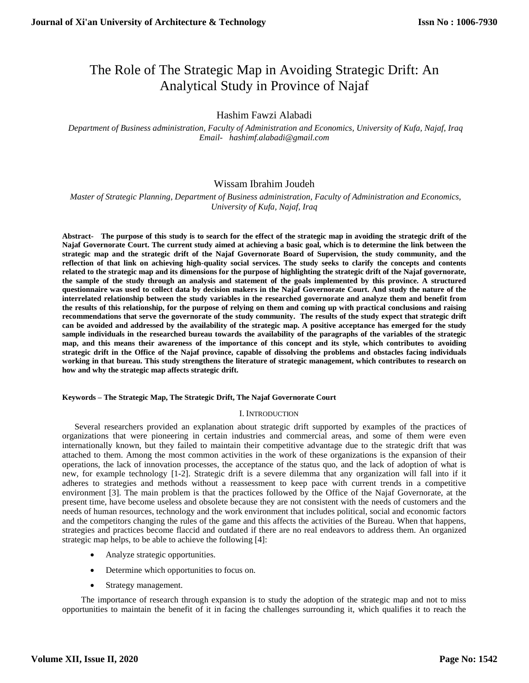# The Role of The Strategic Map in Avoiding Strategic Drift: An Analytical Study in Province of Najaf

# Hashim Fawzi Alabadi

 *Department of Business administration, Faculty of Administration and Economics, University of Kufa, Najaf, Iraq [Email- hashimf.alabadi@gmail.com](mailto:Email-%20%20%20anuradhamit@gmail.com)*

## Wissam Ibrahim Joudeh

 *Master of Strategic Planning, Department of Business administration, Faculty of Administration and Economics, University of Kufa, Najaf, Iraq*

**Abstract- The purpose of this study is to search for the effect of the strategic map in avoiding the strategic drift of the Najaf Governorate Court. The current study aimed at achieving a basic goal, which is to determine the link between the strategic map and the strategic drift of the Najaf Governorate Board of Supervision, the study community, and the reflection of that link on achieving high-quality social services. The study seeks to clarify the concepts and contents related to the strategic map and its dimensions for the purpose of highlighting the strategic drift of the Najaf governorate, the sample of the study through an analysis and statement of the goals implemented by this province. A structured questionnaire was used to collect data by decision makers in the Najaf Governorate Court. And study the nature of the interrelated relationship between the study variables in the researched governorate and analyze them and benefit from the results of this relationship, for the purpose of relying on them and coming up with practical conclusions and raising recommendations that serve the governorate of the study community. The results of the study expect that strategic drift can be avoided and addressed by the availability of the strategic map. A positive acceptance has emerged for the study sample individuals in the researched bureau towards the availability of the paragraphs of the variables of the strategic map, and this means their awareness of the importance of this concept and its style, which contributes to avoiding strategic drift in the Office of the Najaf province, capable of dissolving the problems and obstacles facing individuals working in that bureau. This study strengthens the literature of strategic management, which contributes to research on how and why the strategic map affects strategic drift.**

#### **Keywords – The Strategic Map, The Strategic Drift, The Najaf Governorate Court**

## I. INTRODUCTION

Several researchers provided an explanation about strategic drift supported by examples of the practices of organizations that were pioneering in certain industries and commercial areas, and some of them were even internationally known, but they failed to maintain their competitive advantage due to the strategic drift that was attached to them. Among the most common activities in the work of these organizations is the expansion of their operations, the lack of innovation processes, the acceptance of the status quo, and the lack of adoption of what is new, for example technology [1-2]. Strategic drift is a severe dilemma that any organization will fall into if it adheres to strategies and methods without a reassessment to keep pace with current trends in a competitive environment [3]. The main problem is that the practices followed by the Office of the Najaf Governorate, at the present time, have become useless and obsolete because they are not consistent with the needs of customers and the needs of human resources, technology and the work environment that includes political, social and economic factors and the competitors changing the rules of the game and this affects the activities of the Bureau. When that happens, strategies and practices become flaccid and outdated if there are no real endeavors to address them. An organized strategic map helps, to be able to achieve the following [4]:

- Analyze strategic opportunities.
- Determine which opportunities to focus on.
- Strategy management.

 The importance of research through expansion is to study the adoption of the strategic map and not to miss opportunities to maintain the benefit of it in facing the challenges surrounding it, which qualifies it to reach the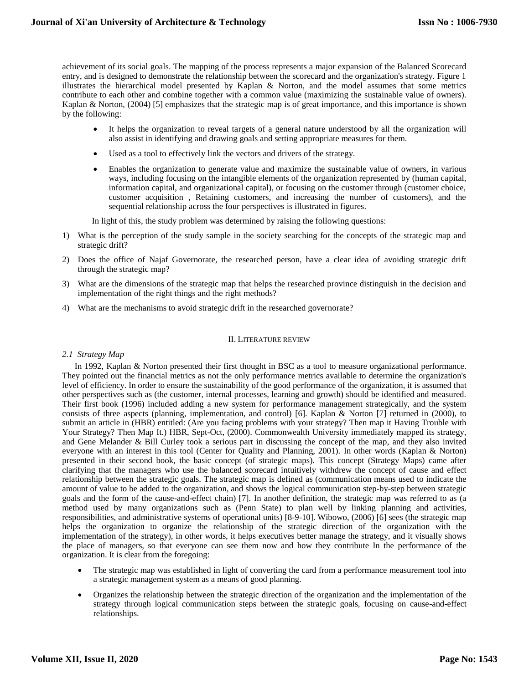achievement of its social goals. The mapping of the process represents a major expansion of the Balanced Scorecard entry, and is designed to demonstrate the relationship between the scorecard and the organization's strategy. Figure 1 illustrates the hierarchical model presented by Kaplan & Norton, and the model assumes that some metrics contribute to each other and combine together with a common value (maximizing the sustainable value of owners). Kaplan & Norton, (2004) [5] emphasizes that the strategic map is of great importance, and this importance is shown by the following:

- It helps the organization to reveal targets of a general nature understood by all the organization will also assist in identifying and drawing goals and setting appropriate measures for them.
- Used as a tool to effectively link the vectors and drivers of the strategy.
- Enables the organization to generate value and maximize the sustainable value of owners, in various ways, including focusing on the intangible elements of the organization represented by (human capital, information capital, and organizational capital), or focusing on the customer through (customer choice, customer acquisition , Retaining customers, and increasing the number of customers), and the sequential relationship across the four perspectives is illustrated in figures.

In light of this, the study problem was determined by raising the following questions:

- 1) What is the perception of the study sample in the society searching for the concepts of the strategic map and strategic drift?
- 2) Does the office of Najaf Governorate, the researched person, have a clear idea of avoiding strategic drift through the strategic map?
- 3) What are the dimensions of the strategic map that helps the researched province distinguish in the decision and implementation of the right things and the right methods?
- 4) What are the mechanisms to avoid strategic drift in the researched governorate?

#### II. LITERATURE REVIEW

#### *2.1 Strategy Map*

In 1992, Kaplan & Norton presented their first thought in BSC as a tool to measure organizational performance. They pointed out the financial metrics as not the only performance metrics available to determine the organization's level of efficiency. In order to ensure the sustainability of the good performance of the organization, it is assumed that other perspectives such as (the customer, internal processes, learning and growth) should be identified and measured. Their first book (1996) included adding a new system for performance management strategically, and the system consists of three aspects (planning, implementation, and control) [6]. Kaplan & Norton [7] returned in (2000), to submit an article in (HBR) entitled: (Are you facing problems with your strategy? Then map it Having Trouble with Your Strategy? Then Map It.) HBR, Sept-Oct, (2000). Commonwealth University immediately mapped its strategy, and Gene Melander & Bill Curley took a serious part in discussing the concept of the map, and they also invited everyone with an interest in this tool (Center for Quality and Planning, 2001). In other words (Kaplan & Norton) presented in their second book, the basic concept (of strategic maps). This concept (Strategy Maps) came after clarifying that the managers who use the balanced scorecard intuitively withdrew the concept of cause and effect relationship between the strategic goals. The strategic map is defined as (communication means used to indicate the amount of value to be added to the organization, and shows the logical communication step-by-step between strategic goals and the form of the cause-and-effect chain) [7]. In another definition, the strategic map was referred to as (a method used by many organizations such as (Penn State) to plan well by linking planning and activities, responsibilities, and administrative systems of operational units) [8-9-10]. Wibowo, (2006) [6] sees (the strategic map helps the organization to organize the relationship of the strategic direction of the organization with the implementation of the strategy), in other words, it helps executives better manage the strategy, and it visually shows the place of managers, so that everyone can see them now and how they contribute In the performance of the organization. It is clear from the foregoing:

- The strategic map was established in light of converting the card from a performance measurement tool into a strategic management system as a means of good planning.
- Organizes the relationship between the strategic direction of the organization and the implementation of the strategy through logical communication steps between the strategic goals, focusing on cause-and-effect relationships.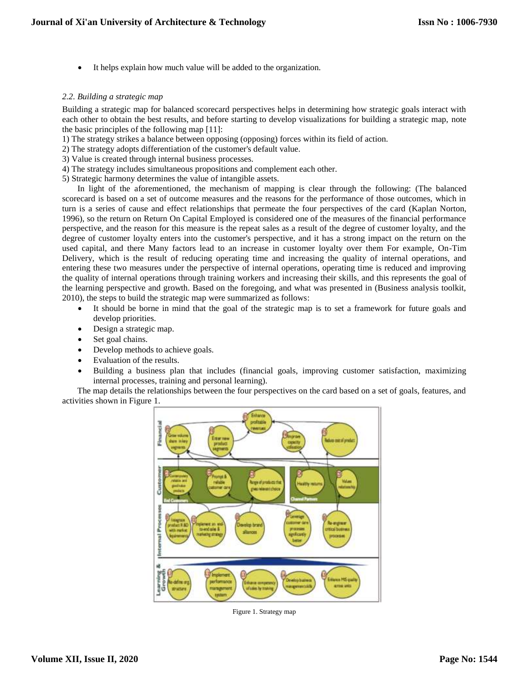It helps explain how much value will be added to the organization.

## *2.2. Building a strategic map*

Building a strategic map for balanced scorecard perspectives helps in determining how strategic goals interact with each other to obtain the best results, and before starting to develop visualizations for building a strategic map, note the basic principles of the following map [11]:

- 1) The strategy strikes a balance between opposing (opposing) forces within its field of action.
- 2) The strategy adopts differentiation of the customer's default value.
- 3) Value is created through internal business processes.
- 4) The strategy includes simultaneous propositions and complement each other.
- 5) Strategic harmony determines the value of intangible assets.

 In light of the aforementioned, the mechanism of mapping is clear through the following: (The balanced scorecard is based on a set of outcome measures and the reasons for the performance of those outcomes, which in turn is a series of cause and effect relationships that permeate the four perspectives of the card (Kaplan Norton, 1996), so the return on Return On Capital Employed is considered one of the measures of the financial performance perspective, and the reason for this measure is the repeat sales as a result of the degree of customer loyalty, and the degree of customer loyalty enters into the customer's perspective, and it has a strong impact on the return on the used capital, and there Many factors lead to an increase in customer loyalty over them For example, On-Tim Delivery, which is the result of reducing operating time and increasing the quality of internal operations, and entering these two measures under the perspective of internal operations, operating time is reduced and improving the quality of internal operations through training workers and increasing their skills, and this represents the goal of the learning perspective and growth. Based on the foregoing, and what was presented in (Business analysis toolkit, 2010), the steps to build the strategic map were summarized as follows:

- It should be borne in mind that the goal of the strategic map is to set a framework for future goals and develop priorities.
- Design a strategic map.
- Set goal chains.
- Develop methods to achieve goals.
- Evaluation of the results.
- Building a business plan that includes (financial goals, improving customer satisfaction, maximizing internal processes, training and personal learning).

 The map details the relationships between the four perspectives on the card based on a set of goals, features, and activities shown in Figure 1.



Figure 1. Strategy map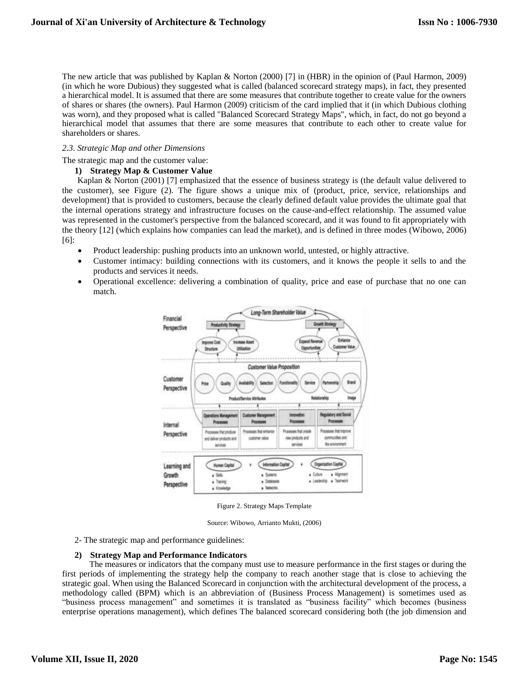The new article that was published by Kaplan & Norton (2000) [7] in (HBR) in the opinion of (Paul Harmon, 2009) (in which he wore Dubious) they suggested what is called (balanced scorecard strategy maps), in fact, they presented a hierarchical model. It is assumed that there are some measures that contribute together to create value for the owners of shares or shares (the owners). Paul Harmon (2009) criticism of the card implied that it (in which Dubious clothing was worn), and they proposed what is called "Balanced Scorecard Strategy Maps", which, in fact, do not go beyond a hierarchical model that assumes that there are some measures that contribute to each other to create value for shareholders or shares.

## *2.3. Strategic Map and other Dimensions*

The strategic map and the customer value:

#### **1) Strategy Map & Customer Value**

 Kaplan & Norton (2001) [7] emphasized that the essence of business strategy is (the default value delivered to the customer), see Figure (2). The figure shows a unique mix of (product, price, service, relationships and development) that is provided to customers, because the clearly defined default value provides the ultimate goal that the internal operations strategy and infrastructure focuses on the cause-and-effect relationship. The assumed value was represented in the customer's perspective from the balanced scorecard, and it was found to fit appropriately with the theory [12] (which explains how companies can lead the market), and is defined in three modes (Wibowo, 2006) [6]:

- Product leadership: pushing products into an unknown world, untested, or highly attractive.
- Customer intimacy: building connections with its customers, and it knows the people it sells to and the products and services it needs.
- Operational excellence: delivering a combination of quality, price and ease of purchase that no one can match.



Figure 2. Strategy Maps Template

Source: Wibowo, Arrianto Mukti, (2006)

2- The strategic map and performance guidelines:

#### **2) Strategy Map and Performance Indicators**

 The measures or indicators that the company must use to measure performance in the first stages or during the first periods of implementing the strategy help the company to reach another stage that is close to achieving the strategic goal. When using the Balanced Scorecard in conjunction with the architectural development of the process, a methodology called (BPM) which is an abbreviation of (Business Process Management) is sometimes used as "business process management" and sometimes it is translated as "business facility" which becomes (business enterprise operations management), which defines The balanced scorecard considering both (the job dimension and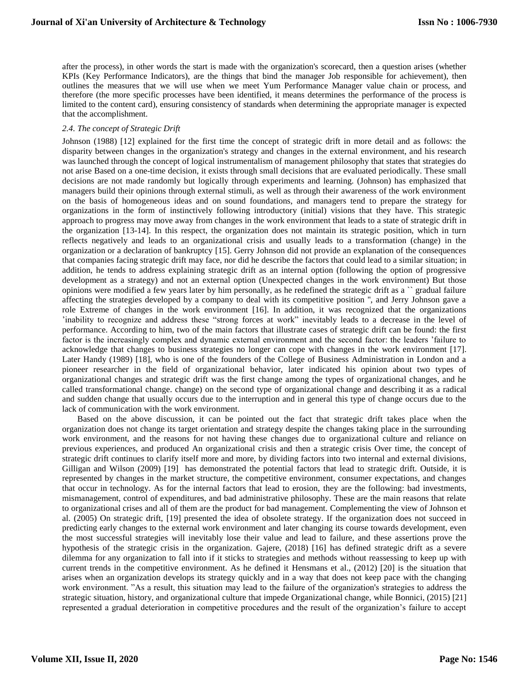after the process), in other words the start is made with the organization's scorecard, then a question arises (whether KPIs (Key Performance Indicators), are the things that bind the manager Job responsible for achievement), then outlines the measures that we will use when we meet Yum Performance Manager value chain or process, and therefore (the more specific processes have been identified, it means determines the performance of the process is limited to the content card), ensuring consistency of standards when determining the appropriate manager is expected that the accomplishment.

## *2.4. The concept of Strategic Drift*

Johnson (1988) [12] explained for the first time the concept of strategic drift in more detail and as follows: the disparity between changes in the organization's strategy and changes in the external environment, and his research was launched through the concept of logical instrumentalism of management philosophy that states that strategies do not arise Based on a one-time decision, it exists through small decisions that are evaluated periodically. These small decisions are not made randomly but logically through experiments and learning. (Johnson) has emphasized that managers build their opinions through external stimuli, as well as through their awareness of the work environment on the basis of homogeneous ideas and on sound foundations, and managers tend to prepare the strategy for organizations in the form of instinctively following introductory (initial) visions that they have. This strategic approach to progress may move away from changes in the work environment that leads to a state of strategic drift in the organization [13-14]. In this respect, the organization does not maintain its strategic position, which in turn reflects negatively and leads to an organizational crisis and usually leads to a transformation (change) in the organization or a declaration of bankruptcy [15]. Gerry Johnson did not provide an explanation of the consequences that companies facing strategic drift may face, nor did he describe the factors that could lead to a similar situation; in addition, he tends to address explaining strategic drift as an internal option (following the option of progressive development as a strategy) and not an external option (Unexpected changes in the work environment) But those opinions were modified a few years later by him personally, as he redefined the strategic drift as a `` gradual failure affecting the strategies developed by a company to deal with its competitive position '', and Jerry Johnson gave a role Extreme of changes in the work environment [16]. In addition, it was recognized that the organizations 'inability to recognize and address these "strong forces at work" inevitably leads to a decrease in the level of performance. According to him, two of the main factors that illustrate cases of strategic drift can be found: the first factor is the increasingly complex and dynamic external environment and the second factor: the leaders 'failure to acknowledge that changes to business strategies no longer can cope with changes in the work environment [17]. Later Handy (1989) [18], who is one of the founders of the College of Business Administration in London and a pioneer researcher in the field of organizational behavior, later indicated his opinion about two types of organizational changes and strategic drift was the first change among the types of organizational changes, and he called transformational change. change) on the second type of organizational change and describing it as a radical and sudden change that usually occurs due to the interruption and in general this type of change occurs due to the lack of communication with the work environment.

 Based on the above discussion, it can be pointed out the fact that strategic drift takes place when the organization does not change its target orientation and strategy despite the changes taking place in the surrounding work environment, and the reasons for not having these changes due to organizational culture and reliance on previous experiences, and produced An organizational crisis and then a strategic crisis Over time, the concept of strategic drift continues to clarify itself more and more, by dividing factors into two internal and external divisions, Gilligan and Wilson (2009) [19] has demonstrated the potential factors that lead to strategic drift. Outside, it is represented by changes in the market structure, the competitive environment, consumer expectations, and changes that occur in technology. As for the internal factors that lead to erosion, they are the following: bad investments, mismanagement, control of expenditures, and bad administrative philosophy. These are the main reasons that relate to organizational crises and all of them are the product for bad management. Complementing the view of Johnson et al. (2005) On strategic drift, [19] presented the idea of obsolete strategy. If the organization does not succeed in predicting early changes to the external work environment and later changing its course towards development, even the most successful strategies will inevitably lose their value and lead to failure, and these assertions prove the hypothesis of the strategic crisis in the organization. Gajere, (2018) [16] has defined strategic drift as a severe dilemma for any organization to fall into if it sticks to strategies and methods without reassessing to keep up with current trends in the competitive environment. As he defined it Hensmans et al., (2012) [20] is the situation that arises when an organization develops its strategy quickly and in a way that does not keep pace with the changing work environment. "As a result, this situation may lead to the failure of the organization's strategies to address the strategic situation, history, and organizational culture that impede Organizational change, while Bonnici, (2015) [21] represented a gradual deterioration in competitive procedures and the result of the organization's failure to accept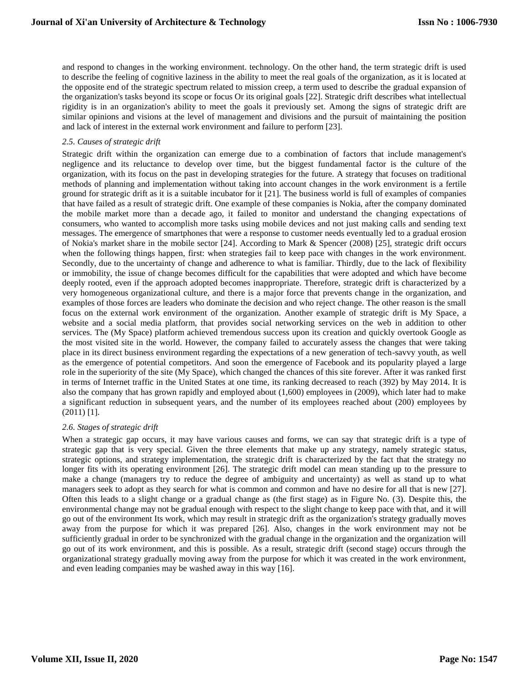and respond to changes in the working environment. technology. On the other hand, the term strategic drift is used to describe the feeling of cognitive laziness in the ability to meet the real goals of the organization, as it is located at the opposite end of the strategic spectrum related to mission creep, a term used to describe the gradual expansion of the organization's tasks beyond its scope or focus Or its original goals [22]. Strategic drift describes what intellectual rigidity is in an organization's ability to meet the goals it previously set. Among the signs of strategic drift are similar opinions and visions at the level of management and divisions and the pursuit of maintaining the position and lack of interest in the external work environment and failure to perform [23].

## *2.5. Causes of strategic drift*

Strategic drift within the organization can emerge due to a combination of factors that include management's negligence and its reluctance to develop over time, but the biggest fundamental factor is the culture of the organization, with its focus on the past in developing strategies for the future. A strategy that focuses on traditional methods of planning and implementation without taking into account changes in the work environment is a fertile ground for strategic drift as it is a suitable incubator for it [21]. The business world is full of examples of companies that have failed as a result of strategic drift. One example of these companies is Nokia, after the company dominated the mobile market more than a decade ago, it failed to monitor and understand the changing expectations of consumers, who wanted to accomplish more tasks using mobile devices and not just making calls and sending text messages. The emergence of smartphones that were a response to customer needs eventually led to a gradual erosion of Nokia's market share in the mobile sector [24]. According to Mark & Spencer (2008) [25], strategic drift occurs when the following things happen, first: when strategies fail to keep pace with changes in the work environment. Secondly, due to the uncertainty of change and adherence to what is familiar. Thirdly, due to the lack of flexibility or immobility, the issue of change becomes difficult for the capabilities that were adopted and which have become deeply rooted, even if the approach adopted becomes inappropriate. Therefore, strategic drift is characterized by a very homogeneous organizational culture, and there is a major force that prevents change in the organization, and examples of those forces are leaders who dominate the decision and who reject change. The other reason is the small focus on the external work environment of the organization. Another example of strategic drift is My Space, a website and a social media platform, that provides social networking services on the web in addition to other services. The (My Space) platform achieved tremendous success upon its creation and quickly overtook Google as the most visited site in the world. However, the company failed to accurately assess the changes that were taking place in its direct business environment regarding the expectations of a new generation of tech-savvy youth, as well as the emergence of potential competitors. And soon the emergence of Facebook and its popularity played a large role in the superiority of the site (My Space), which changed the chances of this site forever. After it was ranked first in terms of Internet traffic in the United States at one time, its ranking decreased to reach (392) by May 2014. It is also the company that has grown rapidly and employed about (1,600) employees in (2009), which later had to make a significant reduction in subsequent years, and the number of its employees reached about (200) employees by (2011) [1].

## *2.6. Stages of strategic drift*

When a strategic gap occurs, it may have various causes and forms, we can say that strategic drift is a type of strategic gap that is very special. Given the three elements that make up any strategy, namely strategic status, strategic options, and strategy implementation, the strategic drift is characterized by the fact that the strategy no longer fits with its operating environment [26]. The strategic drift model can mean standing up to the pressure to make a change (managers try to reduce the degree of ambiguity and uncertainty) as well as stand up to what managers seek to adopt as they search for what is common and common and have no desire for all that is new [27]. Often this leads to a slight change or a gradual change as (the first stage) as in Figure No. (3). Despite this, the environmental change may not be gradual enough with respect to the slight change to keep pace with that, and it will go out of the environment Its work, which may result in strategic drift as the organization's strategy gradually moves away from the purpose for which it was prepared [26]. Also, changes in the work environment may not be sufficiently gradual in order to be synchronized with the gradual change in the organization and the organization will go out of its work environment, and this is possible. As a result, strategic drift (second stage) occurs through the organizational strategy gradually moving away from the purpose for which it was created in the work environment, and even leading companies may be washed away in this way [16].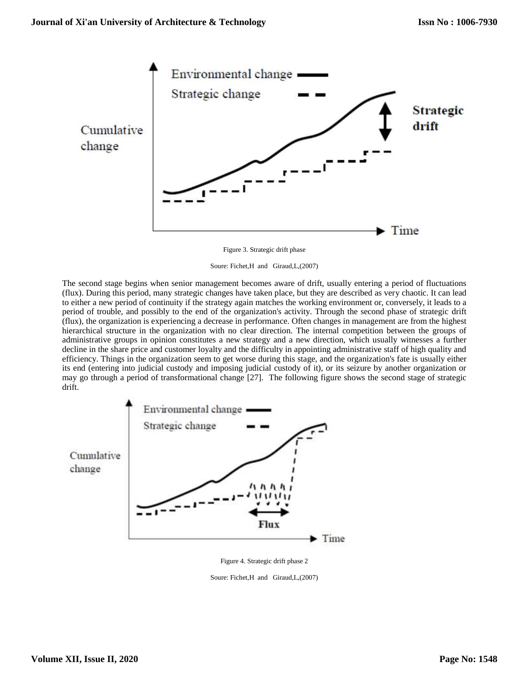

Figure 3. Strategic drift phase

Soure: Fichet,H and Giraud,L,(2007)

The second stage begins when senior management becomes aware of drift, usually entering a period of fluctuations (flux). During this period, many strategic changes have taken place, but they are described as very chaotic. It can lead to either a new period of continuity if the strategy again matches the working environment or, conversely, it leads to a period of trouble, and possibly to the end of the organization's activity. Through the second phase of strategic drift (flux), the organization is experiencing a decrease in performance. Often changes in management are from the highest hierarchical structure in the organization with no clear direction. The internal competition between the groups of administrative groups in opinion constitutes a new strategy and a new direction, which usually witnesses a further decline in the share price and customer loyalty and the difficulty in appointing administrative staff of high quality and efficiency. Things in the organization seem to get worse during this stage, and the organization's fate is usually either its end (entering into judicial custody and imposing judicial custody of it), or its seizure by another organization or may go through a period of transformational change [27]. The following figure shows the second stage of strategic drift.



Figure 4. Strategic drift phase 2

Soure: Fichet,H and Giraud,L,(2007)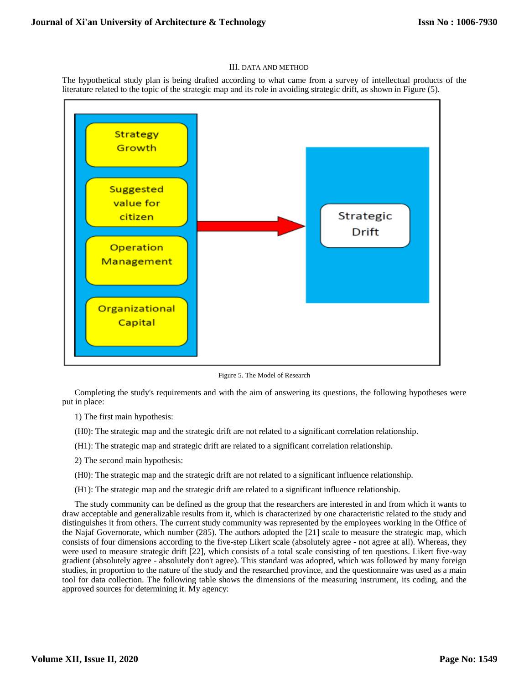#### III. DATA AND METHOD

The hypothetical study plan is being drafted according to what came from a survey of intellectual products of the literature related to the topic of the strategic map and its role in avoiding strategic drift, as shown in Figure (5).



Figure 5. The Model of Research

Completing the study's requirements and with the aim of answering its questions, the following hypotheses were put in place:

1) The first main hypothesis:

- (H0): The strategic map and the strategic drift are not related to a significant correlation relationship.
- (H1): The strategic map and strategic drift are related to a significant correlation relationship.
- 2) The second main hypothesis:
- (H0): The strategic map and the strategic drift are not related to a significant influence relationship.
- (H1): The strategic map and the strategic drift are related to a significant influence relationship.

The study community can be defined as the group that the researchers are interested in and from which it wants to draw acceptable and generalizable results from it, which is characterized by one characteristic related to the study and distinguishes it from others. The current study community was represented by the employees working in the Office of the Najaf Governorate, which number (285). The authors adopted the [21] scale to measure the strategic map, which consists of four dimensions according to the five-step Likert scale (absolutely agree - not agree at all). Whereas, they were used to measure strategic drift [22], which consists of a total scale consisting of ten questions. Likert five-way gradient (absolutely agree - absolutely don't agree). This standard was adopted, which was followed by many foreign studies, in proportion to the nature of the study and the researched province, and the questionnaire was used as a main tool for data collection. The following table shows the dimensions of the measuring instrument, its coding, and the approved sources for determining it. My agency: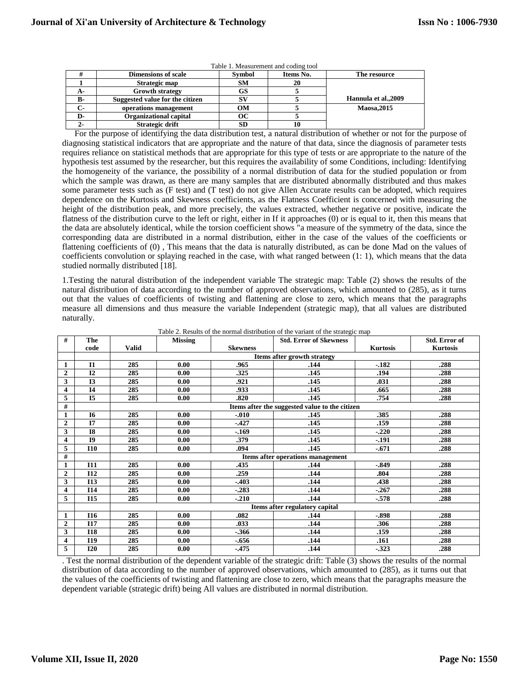| Table 1. Measurement and coding tool |                                 |               |           |                      |  |  |  |
|--------------------------------------|---------------------------------|---------------|-----------|----------------------|--|--|--|
|                                      | <b>Dimensions of scale</b>      | <b>Symbol</b> | Items No. | The resource         |  |  |  |
|                                      | Strategic map                   | <b>SM</b>     | 20        |                      |  |  |  |
| А-                                   | <b>Growth strategy</b>          | GS            |           |                      |  |  |  |
| в-                                   | Suggested value for the citizen | SV.           |           | Hannula et al., 2009 |  |  |  |
| $C-$                                 | operations management           | OМ            |           | Maosa, 2015          |  |  |  |
| D-                                   | <b>Organizational capital</b>   | ОC            |           |                      |  |  |  |
|                                      | Strategic drift                 | cn            |           |                      |  |  |  |

For the purpose of identifying the data distribution test, a natural distribution of whether or not for the purpose of diagnosing statistical indicators that are appropriate and the nature of that data, since the diagnosis of parameter tests requires reliance on statistical methods that are appropriate for this type of tests or are appropriate to the nature of the hypothesis test assumed by the researcher, but this requires the availability of some Conditions, including: Identifying the homogeneity of the variance, the possibility of a normal distribution of data for the studied population or from which the sample was drawn, as there are many samples that are distributed abnormally distributed and thus makes some parameter tests such as (F test) and (T test) do not give Allen Accurate results can be adopted, which requires dependence on the Kurtosis and Skewness coefficients, as the Flatness Coefficient is concerned with measuring the height of the distribution peak, and more precisely, the values extracted, whether negative or positive, indicate the flatness of the distribution curve to the left or right, either in If it approaches (0) or is equal to it, then this means that the data are absolutely identical, while the torsion coefficient shows "a measure of the symmetry of the data, since the corresponding data are distributed in a normal distribution, either in the case of the values of the coefficients or flattening coefficients of (0) , This means that the data is naturally distributed, as can be done Mad on the values of coefficients convolution or splaying reached in the case, with what ranged between (1: 1), which means that the data studied normally distributed [18].

1.Testing the natural distribution of the independent variable The strategic map: Table (2) shows the results of the natural distribution of data according to the number of approved observations, which amounted to (285), as it turns out that the values of coefficients of twisting and flattening are close to zero, which means that the paragraphs measure all dimensions and thus measure the variable Independent (strategic map), that all values are distributed naturally.

| #              | The            |                                | <b>Missing</b>                    | <b>Std. Error of Skewness</b> |                                                |                 | Std. Error of   |  |  |  |  |
|----------------|----------------|--------------------------------|-----------------------------------|-------------------------------|------------------------------------------------|-----------------|-----------------|--|--|--|--|
|                | code           | <b>Valid</b>                   |                                   | <b>Skewness</b>               |                                                | <b>Kurtosis</b> | <b>Kurtosis</b> |  |  |  |  |
|                |                |                                | Items after growth strategy       |                               |                                                |                 |                 |  |  |  |  |
| 1              | I1             | 285                            | 0.00                              | .965                          | .144                                           | $-.182$         | .288            |  |  |  |  |
| $\overline{2}$ | I2             | 285                            | 0.00                              | .325                          | .145                                           | .194            | .288            |  |  |  |  |
| 3              | I <sub>3</sub> | 285                            | 0.00                              | .921                          | .145                                           | .031            | .288            |  |  |  |  |
| 4              | 14             | 285                            | 0.00                              | .933                          | .145                                           | .665            | .288            |  |  |  |  |
| 5              | <b>I5</b>      | 285                            | 0.00                              | .820                          | .145                                           | .754            | .288            |  |  |  |  |
| #              |                |                                |                                   |                               | Items after the suggested value to the citizen |                 |                 |  |  |  |  |
| 1              | <b>I6</b>      | 285                            | 0.00                              | $-.010$                       | .145                                           | .385            | .288            |  |  |  |  |
| $\overline{2}$ | I7             | 285                            | 0.00                              | $-.427$                       | .145                                           | .159            | .288            |  |  |  |  |
| 3              | <b>I8</b>      | 285                            | 0.00                              | $-.169$                       | .145                                           | $-.220$         | .288            |  |  |  |  |
| 4              | <b>I9</b>      | 285                            | 0.00                              | .379                          | .145                                           | $-.191$         | .288            |  |  |  |  |
| 5              | <b>I10</b>     | 285                            | 0.00                              | .094                          | .145                                           | $-.671$         | .288            |  |  |  |  |
| #              |                |                                | Items after operations management |                               |                                                |                 |                 |  |  |  |  |
|                | <b>I11</b>     | 285                            | 0.00                              | .435                          | .144                                           | $-0.849$        | .288            |  |  |  |  |
| $\overline{2}$ | I12            | 285                            | 0.00                              | .259                          | .144                                           | .804            | .288            |  |  |  |  |
| 3              | <b>I13</b>     | 285                            | 0.00                              | $-.403$                       | .144                                           | .438            | .288            |  |  |  |  |
| 4              | <b>I14</b>     | 285                            | 0.00                              | $-.283$                       | .144                                           | $-.267$         | .288            |  |  |  |  |
| 5              | I15            | 285                            | 0.00                              | $-.210$                       | .144                                           | $-.578$         | .288            |  |  |  |  |
|                |                | Items after regulatory capital |                                   |                               |                                                |                 |                 |  |  |  |  |
| 1              | <b>I16</b>     | 285                            | 0.00                              | .082                          | .144                                           | $-.898$         | .288            |  |  |  |  |
| $\overline{2}$ | <b>I17</b>     | 285                            | 0.00                              | .033                          | .144                                           | .306            | .288            |  |  |  |  |
| 3              | <b>I18</b>     | 285                            | 0.00                              | $-0.366$                      | .144                                           | .159            | .288            |  |  |  |  |
| 4              | I19            | 285                            | 0.00                              | $-656$                        | .144                                           | .161            | .288            |  |  |  |  |
| 5              | <b>I20</b>     | 285                            | 0.00                              | $-475$                        | .144                                           | $-.323$         | .288            |  |  |  |  |

Table 2. Results of the normal distribution of the variant of the strategic map

. Test the normal distribution of the dependent variable of the strategic drift: Table (3) shows the results of the normal distribution of data according to the number of approved observations, which amounted to (285), as it turns out that the values of the coefficients of twisting and flattening are close to zero, which means that the paragraphs measure the dependent variable (strategic drift) being All values are distributed in normal distribution.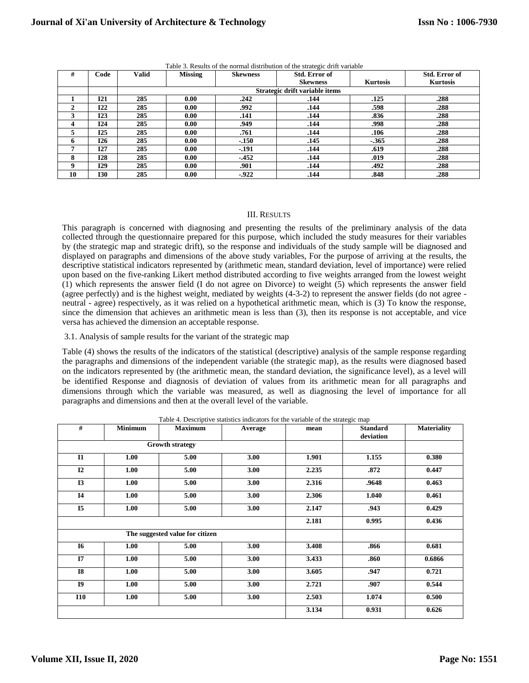| #            | Code       | Valid | <b>Missing</b> | <b>Skewness</b> | Std. Error of                  |                 | Std. Error of   |
|--------------|------------|-------|----------------|-----------------|--------------------------------|-----------------|-----------------|
|              |            |       |                |                 | <b>Skewness</b>                | <b>Kurtosis</b> | <b>Kurtosis</b> |
|              |            |       |                |                 | Strategic drift variable items |                 |                 |
|              | 121        | 285   | 0.00           | .242            | .144                           | .125            | .288            |
| ◠            | 122        | 285   | 0.00           | .992            | .144                           | .598            | .288            |
|              | 123        | 285   | 0.00           | .141            | .144                           | .836            | .288            |
| 4            | 124        | 285   | 0.00           | .949            | .144                           | .998            | .288            |
| ,            | 125        | 285   | 0.00           | .761            | .144                           | .106            | .288            |
| <sub>n</sub> | 126        | 285   | 0.00           | $-.150$         | .145                           | $-0.365$        | .288            |
| 7            | I27        | 285   | 0.00           | $-191$          | .144                           | .619            | .288            |
| 8            | <b>I28</b> | 285   | 0.00           | $-452$          | .144                           | .019            | .288            |
| 9            | <b>I29</b> | 285   | 0.00           | .901            | .144                           | .492            | .288            |
| 10           | I30        | 285   | 0.00           | $-922$          | .144                           | .848            | .288            |

Table 3. Results of the normal distribution of the strategic drift variable

## III. RESULTS

This paragraph is concerned with diagnosing and presenting the results of the preliminary analysis of the data collected through the questionnaire prepared for this purpose, which included the study measures for their variables by (the strategic map and strategic drift), so the response and individuals of the study sample will be diagnosed and displayed on paragraphs and dimensions of the above study variables, For the purpose of arriving at the results, the descriptive statistical indicators represented by (arithmetic mean, standard deviation, level of importance) were relied upon based on the five-ranking Likert method distributed according to five weights arranged from the lowest weight (1) which represents the answer field (I do not agree on Divorce) to weight (5) which represents the answer field (agree perfectly) and is the highest weight, mediated by weights (4-3-2) to represent the answer fields (do not agree neutral - agree) respectively, as it was relied on a hypothetical arithmetic mean, which is (3) To know the response, since the dimension that achieves an arithmetic mean is less than (3), then its response is not acceptable, and vice versa has achieved the dimension an acceptable response.

3.1. Analysis of sample results for the variant of the strategic map

Table (4) shows the results of the indicators of the statistical (descriptive) analysis of the sample response regarding the paragraphs and dimensions of the independent variable (the strategic map), as the results were diagnosed based on the indicators represented by (the arithmetic mean, the standard deviation, the significance level), as a level will be identified Response and diagnosis of deviation of values from its arithmetic mean for all paragraphs and dimensions through which the variable was measured, as well as diagnosing the level of importance for all paragraphs and dimensions and then at the overall level of the variable.

| #              | <b>Minimum</b> | <b>Maximum</b>                  | Average | mean  | <b>Standard</b><br>deviation | <b>Materiality</b> |
|----------------|----------------|---------------------------------|---------|-------|------------------------------|--------------------|
|                |                | <b>Growth strategy</b>          |         |       |                              |                    |
| <b>I1</b>      | 1.00           | 5.00                            | 3.00    | 1.901 | 1.155                        | 0.380              |
| I2             | 1.00           | 5.00                            | 3.00    | 2.235 | .872                         | 0.447              |
| <b>I3</b>      | 1.00           | 5.00                            | 3.00    | 2.316 | .9648                        | 0.463              |
| <b>I4</b>      | 1.00           | 5.00                            | 3.00    | 2.306 | 1.040                        | 0.461              |
| I <sub>5</sub> | 1.00           | 5.00                            | 3.00    | 2.147 | .943                         | 0.429              |
|                |                |                                 | 2.181   | 0.995 | 0.436                        |                    |
|                |                | The suggested value for citizen |         |       |                              |                    |
| <b>I6</b>      | 1.00           | 5.00                            | 3.00    | 3.408 | .866                         | 0.681              |
| <b>I7</b>      | 1.00           | 5.00                            | 3.00    | 3.433 | .860                         | 0.6866             |
| <b>I8</b>      | 1.00           | 5.00                            | 3.00    | 3.605 | .947                         | 0.721              |
| <b>I9</b>      | 1.00           | 5.00                            | 3.00    | 2.721 | .907                         | 0.544              |
| <b>I10</b>     | 1.00           | 5.00                            | 3.00    | 2.503 | 1.074                        | 0.500              |
|                |                |                                 |         | 3.134 | 0.931                        | 0.626              |

Table 4. Descriptive statistics indicators for the variable of the strategic map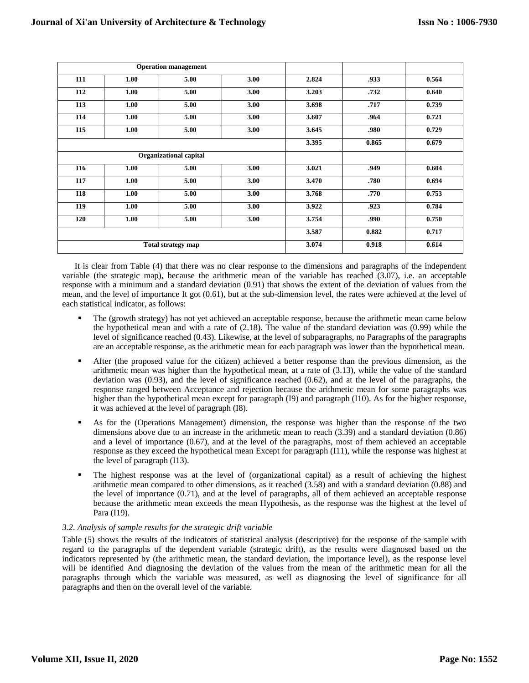|                           |      | <b>Operation management</b> |       |       |       |       |
|---------------------------|------|-----------------------------|-------|-------|-------|-------|
| <b>I11</b>                | 1.00 | 5.00                        | 3.00  | 2.824 | .933  | 0.564 |
| <b>I12</b>                | 1.00 | 5.00                        | 3.00  | 3.203 | .732  | 0.640 |
| <b>I13</b>                | 1.00 | 5.00                        | 3.00  | 3.698 | .717  | 0.739 |
| <b>I14</b>                | 1.00 | 5.00                        | 3.00  | 3.607 | .964  | 0.721 |
| <b>I15</b>                | 1.00 | 5.00                        | 3.00  | 3.645 | .980  | 0.729 |
|                           |      |                             | 3.395 | 0.865 | 0.679 |       |
| Organizational capital    |      |                             |       |       |       |       |
| <b>I16</b>                | 1.00 | 5.00                        | 3.00  | 3.021 | .949  | 0.604 |
| <b>I17</b>                | 1.00 | 5.00                        | 3.00  | 3.470 | .780  | 0.694 |
| <b>I18</b>                | 1.00 | 5.00                        | 3.00  | 3.768 | .770  | 0.753 |
| I19                       | 1.00 | 5.00                        | 3.00  | 3.922 | .923  | 0.784 |
| <b>I20</b>                | 1.00 | 5.00                        | 3.00  | 3.754 | .990  | 0.750 |
|                           |      |                             |       | 3.587 | 0.882 | 0.717 |
| <b>Total strategy map</b> |      |                             |       | 3.074 | 0.918 | 0.614 |

It is clear from Table (4) that there was no clear response to the dimensions and paragraphs of the independent variable (the strategic map), because the arithmetic mean of the variable has reached (3.07), i.e. an acceptable response with a minimum and a standard deviation (0.91) that shows the extent of the deviation of values from the mean, and the level of importance It got (0.61), but at the sub-dimension level, the rates were achieved at the level of each statistical indicator, as follows:

- The (growth strategy) has not yet achieved an acceptable response, because the arithmetic mean came below the hypothetical mean and with a rate of (2.18). The value of the standard deviation was (0.99) while the level of significance reached (0.43). Likewise, at the level of subparagraphs, no Paragraphs of the paragraphs are an acceptable response, as the arithmetic mean for each paragraph was lower than the hypothetical mean.
- After (the proposed value for the citizen) achieved a better response than the previous dimension, as the arithmetic mean was higher than the hypothetical mean, at a rate of (3.13), while the value of the standard deviation was (0.93), and the level of significance reached (0.62), and at the level of the paragraphs, the response ranged between Acceptance and rejection because the arithmetic mean for some paragraphs was higher than the hypothetical mean except for paragraph (I9) and paragraph (I10). As for the higher response, it was achieved at the level of paragraph (I8).
- As for the (Operations Management) dimension, the response was higher than the response of the two dimensions above due to an increase in the arithmetic mean to reach (3.39) and a standard deviation (0.86) and a level of importance (0.67), and at the level of the paragraphs, most of them achieved an acceptable response as they exceed the hypothetical mean Except for paragraph (I11), while the response was highest at the level of paragraph (I13).
- The highest response was at the level of (organizational capital) as a result of achieving the highest arithmetic mean compared to other dimensions, as it reached (3.58) and with a standard deviation (0.88) and the level of importance (0.71), and at the level of paragraphs, all of them achieved an acceptable response because the arithmetic mean exceeds the mean Hypothesis, as the response was the highest at the level of Para (I19).

## *3.2. Analysis of sample results for the strategic drift variable*

Table (5) shows the results of the indicators of statistical analysis (descriptive) for the response of the sample with regard to the paragraphs of the dependent variable (strategic drift), as the results were diagnosed based on the indicators represented by (the arithmetic mean, the standard deviation, the importance level), as the response level will be identified And diagnosing the deviation of the values from the mean of the arithmetic mean for all the paragraphs through which the variable was measured, as well as diagnosing the level of significance for all paragraphs and then on the overall level of the variable.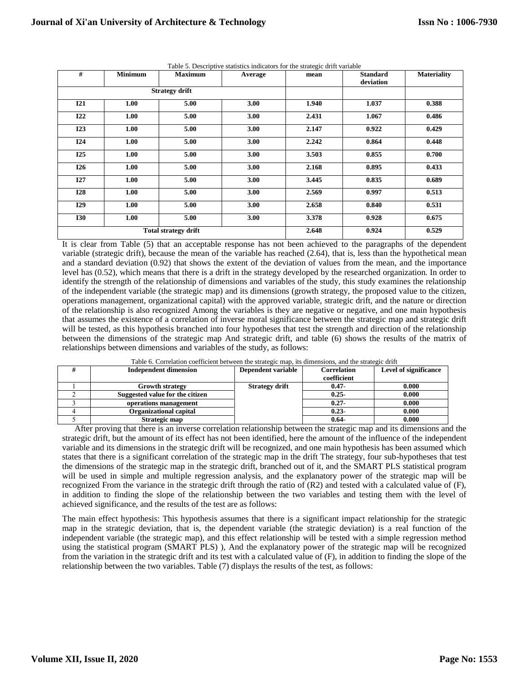| #          | <b>Minimum</b> | <b>Maximum</b>              | Average | mean  | <b>Standard</b><br>deviation | <b>Materiality</b> |
|------------|----------------|-----------------------------|---------|-------|------------------------------|--------------------|
|            |                | <b>Strategy drift</b>       |         |       |                              |                    |
| <b>I21</b> | 1.00           | 5.00                        | 3.00    | 1.940 | 1.037                        | 0.388              |
| <b>I22</b> | 1.00           | 5.00                        | 3.00    | 2.431 | 1.067                        | 0.486              |
| I23        | 1.00           | 5.00                        | 3.00    | 2.147 | 0.922                        | 0.429              |
| <b>I24</b> | 1.00           | 5.00                        | 3.00    | 2.242 | 0.864                        | 0.448              |
| <b>I25</b> | 1.00           | 5.00                        | 3.00    | 3.503 | 0.855                        | 0.700              |
| <b>I26</b> | 1.00           | 5.00                        | 3.00    | 2.168 | 0.895                        | 0.433              |
| I27        | 1.00           | 5.00                        | 3.00    | 3.445 | 0.835                        | 0.689              |
| <b>I28</b> | 1.00           | 5.00                        | 3.00    | 2.569 | 0.997                        | 0.513              |
| I29        | 1.00           | 5.00                        | 3.00    | 2.658 | 0.840                        | 0.531              |
| <b>I30</b> | 1.00           | 5.00                        | 3.00    | 3.378 | 0.928                        | 0.675              |
|            |                | <b>Total strategy drift</b> | 2.648   | 0.924 | 0.529                        |                    |

Table 5. Descriptive statistics indicators for the strategic drift variable

It is clear from Table (5) that an acceptable response has not been achieved to the paragraphs of the dependent variable (strategic drift), because the mean of the variable has reached (2.64), that is, less than the hypothetical mean and a standard deviation (0.92) that shows the extent of the deviation of values from the mean, and the importance level has (0.52), which means that there is a drift in the strategy developed by the researched organization. In order to identify the strength of the relationship of dimensions and variables of the study, this study examines the relationship of the independent variable (the strategic map) and its dimensions (growth strategy, the proposed value to the citizen, operations management, organizational capital) with the approved variable, strategic drift, and the nature or direction of the relationship is also recognized Among the variables is they are negative or negative, and one main hypothesis that assumes the existence of a correlation of inverse moral significance between the strategic map and strategic drift will be tested, as this hypothesis branched into four hypotheses that test the strength and direction of the relationship between the dimensions of the strategic map And strategic drift, and table (6) shows the results of the matrix of relationships between dimensions and variables of the study, as follows:

| <b>Independent dimension</b>    | Dependent variable    | <b>Correlation</b> | <b>Level of significance</b> |  |  |  |
|---------------------------------|-----------------------|--------------------|------------------------------|--|--|--|
|                                 |                       | coefficient        |                              |  |  |  |
| <b>Growth strategy</b>          | <b>Strategy drift</b> | $0.47 -$           | 0.000                        |  |  |  |
| Suggested value for the citizen |                       | $0.25 -$           | 0.000                        |  |  |  |
| operations management           |                       | $0.27 -$           | 0.000                        |  |  |  |
| <b>Organizational capital</b>   |                       | $0.23 -$           | 0.000                        |  |  |  |
| Strategic map                   |                       | $0.64 -$           | 0.000                        |  |  |  |

Table 6. Correlation coefficient between the strategic map, its dimensions, and the strategic drift

After proving that there is an inverse correlation relationship between the strategic map and its dimensions and the strategic drift, but the amount of its effect has not been identified, here the amount of the influence of the independent variable and its dimensions in the strategic drift will be recognized, and one main hypothesis has been assumed which states that there is a significant correlation of the strategic map in the drift The strategy, four sub-hypotheses that test the dimensions of the strategic map in the strategic drift, branched out of it, and the SMART PLS statistical program will be used in simple and multiple regression analysis, and the explanatory power of the strategic map will be recognized From the variance in the strategic drift through the ratio of (R2) and tested with a calculated value of (F), in addition to finding the slope of the relationship between the two variables and testing them with the level of achieved significance, and the results of the test are as follows:

The main effect hypothesis: This hypothesis assumes that there is a significant impact relationship for the strategic map in the strategic deviation, that is, the dependent variable (the strategic deviation) is a real function of the independent variable (the strategic map), and this effect relationship will be tested with a simple regression method using the statistical program (SMART PLS) ), And the explanatory power of the strategic map will be recognized from the variation in the strategic drift and its test with a calculated value of (F), in addition to finding the slope of the relationship between the two variables. Table (7) displays the results of the test, as follows: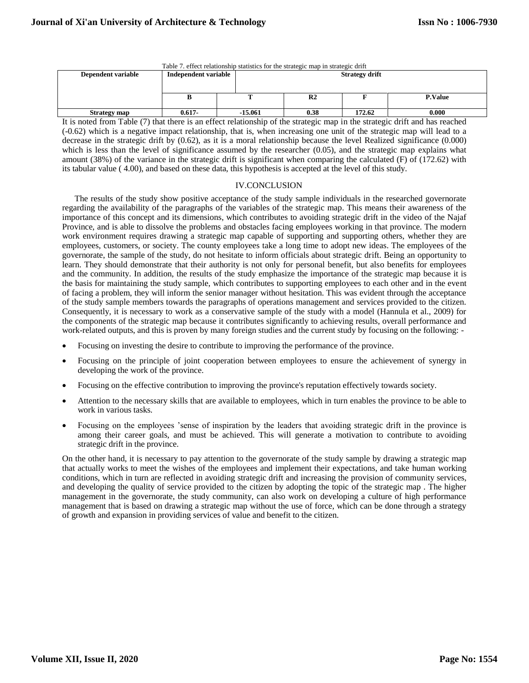| Table 7. effect relationship statistics for the strategic map in strategic drift |                      |  |                       |                |        |                |  |  |
|----------------------------------------------------------------------------------|----------------------|--|-----------------------|----------------|--------|----------------|--|--|
| Dependent variable                                                               | Independent variable |  | <b>Strategy drift</b> |                |        |                |  |  |
|                                                                                  |                      |  |                       |                |        |                |  |  |
|                                                                                  |                      |  |                       |                |        |                |  |  |
|                                                                                  |                      |  |                       | R <sub>2</sub> |        | <b>P.Value</b> |  |  |
|                                                                                  |                      |  |                       |                |        |                |  |  |
| <b>Strategy map</b>                                                              | $0.617 -$            |  | -15.061               | 0.38           | 172.62 | 0.000          |  |  |

It is noted from Table (7) that there is an effect relationship of the strategic map in the strategic drift and has reached (-0.62) which is a negative impact relationship, that is, when increasing one unit of the strategic map will lead to a decrease in the strategic drift by (0.62), as it is a moral relationship because the level Realized significance (0.000) which is less than the level of significance assumed by the researcher (0.05), and the strategic map explains what amount (38%) of the variance in the strategic drift is significant when comparing the calculated (F) of (172.62) with its tabular value ( 4.00), and based on these data, this hypothesis is accepted at the level of this study.

## IV.CONCLUSION

The results of the study show positive acceptance of the study sample individuals in the researched governorate regarding the availability of the paragraphs of the variables of the strategic map. This means their awareness of the importance of this concept and its dimensions, which contributes to avoiding strategic drift in the video of the Najaf Province, and is able to dissolve the problems and obstacles facing employees working in that province. The modern work environment requires drawing a strategic map capable of supporting and supporting others, whether they are employees, customers, or society. The county employees take a long time to adopt new ideas. The employees of the governorate, the sample of the study, do not hesitate to inform officials about strategic drift. Being an opportunity to learn. They should demonstrate that their authority is not only for personal benefit, but also benefits for employees and the community. In addition, the results of the study emphasize the importance of the strategic map because it is the basis for maintaining the study sample, which contributes to supporting employees to each other and in the event of facing a problem, they will inform the senior manager without hesitation. This was evident through the acceptance of the study sample members towards the paragraphs of operations management and services provided to the citizen. Consequently, it is necessary to work as a conservative sample of the study with a model (Hannula et al., 2009) for the components of the strategic map because it contributes significantly to achieving results, overall performance and work-related outputs, and this is proven by many foreign studies and the current study by focusing on the following: -

- Focusing on investing the desire to contribute to improving the performance of the province.
- Focusing on the principle of joint cooperation between employees to ensure the achievement of synergy in developing the work of the province.
- Focusing on the effective contribution to improving the province's reputation effectively towards society.
- Attention to the necessary skills that are available to employees, which in turn enables the province to be able to work in various tasks.
- Focusing on the employees 'sense of inspiration by the leaders that avoiding strategic drift in the province is among their career goals, and must be achieved. This will generate a motivation to contribute to avoiding strategic drift in the province.

On the other hand, it is necessary to pay attention to the governorate of the study sample by drawing a strategic map that actually works to meet the wishes of the employees and implement their expectations, and take human working conditions, which in turn are reflected in avoiding strategic drift and increasing the provision of community services, and developing the quality of service provided to the citizen by adopting the topic of the strategic map . The higher management in the governorate, the study community, can also work on developing a culture of high performance management that is based on drawing a strategic map without the use of force, which can be done through a strategy of growth and expansion in providing services of value and benefit to the citizen.